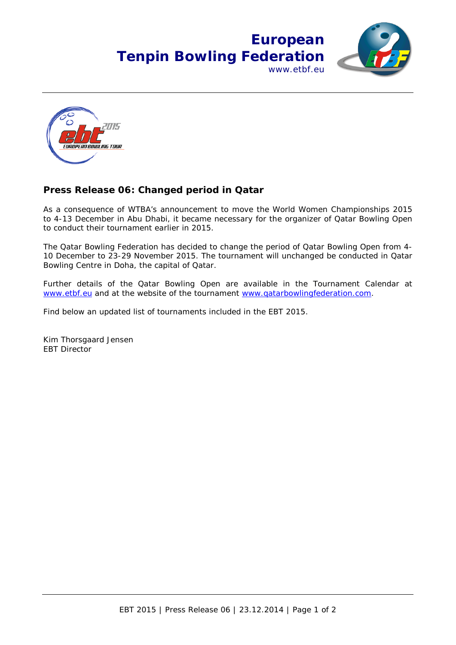



## **Press Release 06: Changed period in Qatar**

As a consequence of WTBA's announcement to move the World Women Championships 2015 to 4-13 December in Abu Dhabi, it became necessary for the organizer of Qatar Bowling Open to conduct their tournament earlier in 2015.

The Qatar Bowling Federation has decided to change the period of Qatar Bowling Open from 4- 10 December to 23-29 November 2015. The tournament will unchanged be conducted in Qatar Bowling Centre in Doha, the capital of Qatar.

Further details of the Qatar Bowling Open are available in the Tournament Calendar at [www.etbf.eu](http://www.etbf.eu/) and at the website of the tournament [www.qatarbowlingfederation.com.](http://www.qatarbowlingfederation.com/)

Find below an updated list of tournaments included in the EBT 2015.

Kim Thorsgaard Jensen EBT Director